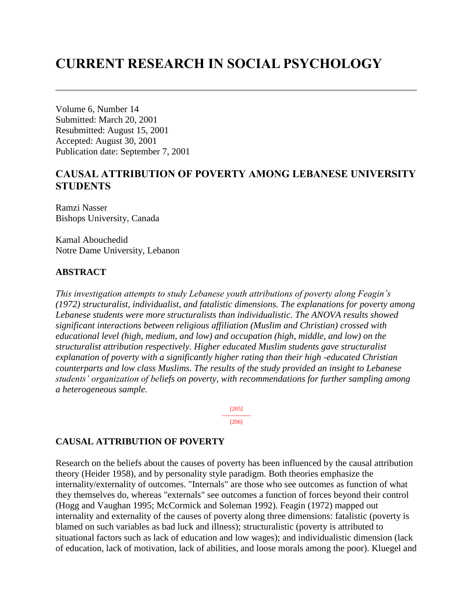# **CURRENT RESEARCH IN SOCIAL PSYCHOLOGY**

Volume 6, Number 14 Submitted: March 20, 2001 Resubmitted: August 15, 2001 Accepted: August 30, 2001 Publication date: September 7, 2001

# **CAUSAL ATTRIBUTION OF POVERTY AMONG LEBANESE UNIVERSITY STUDENTS**

Ramzi Nasser Bishops University, Canada

Kamal Abouchedid Notre Dame University, Lebanon

# **ABSTRACT**

*This investigation attempts to study Lebanese youth attributions of poverty along Feagin's (1972) structuralist, individualist, and fatalistic dimensions. The explanations for poverty among Lebanese students were more structuralists than individualistic. The ANOVA results showed significant interactions between religious affiliation (Muslim and Christian) crossed with educational level (high, medium, and low) and occupation (high, middle, and low) on the structuralist attribution respectively. Higher educated Muslim students gave structuralist explanation of poverty with a significantly higher rating than their high -educated Christian counterparts and low class Muslims. The results of the study provided an insight to Lebanese students' organization of beliefs on poverty, with recommendations for further sampling among a heterogeneous sample.* 

> [205] --------------- [206]

# **CAUSAL ATTRIBUTION OF POVERTY**

Research on the beliefs about the causes of poverty has been influenced by the causal attribution theory (Heider 1958), and by personality style paradigm. Both theories emphasize the internality/externality of outcomes. "Internals" are those who see outcomes as function of what they themselves do, whereas "externals" see outcomes a function of forces beyond their control (Hogg and Vaughan 1995; McCormick and Soleman 1992). Feagin (1972) mapped out internality and externality of the causes of poverty along three dimensions: fatalistic (poverty is blamed on such variables as bad luck and illness); structuralistic (poverty is attributed to situational factors such as lack of education and low wages); and individualistic dimension (lack of education, lack of motivation, lack of abilities, and loose morals among the poor). Kluegel and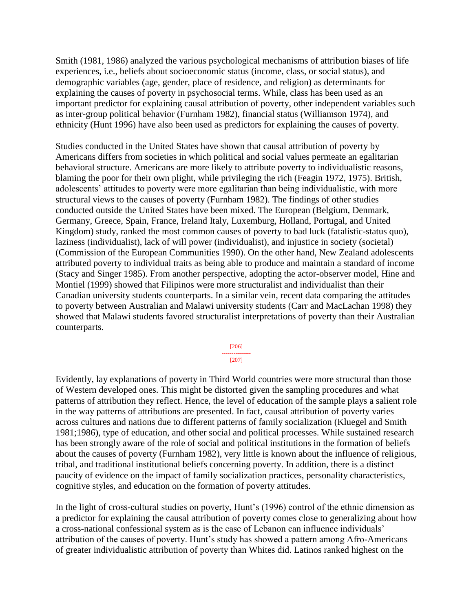Smith (1981, 1986) analyzed the various psychological mechanisms of attribution biases of life experiences, i.e., beliefs about socioeconomic status (income, class, or social status), and demographic variables (age, gender, place of residence, and religion) as determinants for explaining the causes of poverty in psychosocial terms. While, class has been used as an important predictor for explaining causal attribution of poverty, other independent variables such as inter-group political behavior (Furnham 1982), financial status (Williamson 1974), and ethnicity (Hunt 1996) have also been used as predictors for explaining the causes of poverty.

Studies conducted in the United States have shown that causal attribution of poverty by Americans differs from societies in which political and social values permeate an egalitarian behavioral structure. Americans are more likely to attribute poverty to individualistic reasons, blaming the poor for their own plight, while privileging the rich (Feagin 1972, 1975). British, adolescents' attitudes to poverty were more egalitarian than being individualistic, with more structural views to the causes of poverty (Furnham 1982). The findings of other studies conducted outside the United States have been mixed. The European (Belgium, Denmark, Germany, Greece, Spain, France, Ireland Italy, Luxemburg, Holland, Portugal, and United Kingdom) study, ranked the most common causes of poverty to bad luck (fatalistic-status quo), laziness (individualist), lack of will power (individualist), and injustice in society (societal) (Commission of the European Communities 1990). On the other hand, New Zealand adolescents attributed poverty to individual traits as being able to produce and maintain a standard of income (Stacy and Singer 1985). From another perspective, adopting the actor-observer model, Hine and Montiel (1999) showed that Filipinos were more structuralist and individualist than their Canadian university students counterparts. In a similar vein, recent data comparing the attitudes to poverty between Australian and Malawi university students (Carr and MacLachan 1998) they showed that Malawi students favored structuralist interpretations of poverty than their Australian counterparts.

> [206] --------------- [207]

Evidently, lay explanations of poverty in Third World countries were more structural than those of Western developed ones. This might be distorted given the sampling procedures and what patterns of attribution they reflect. Hence, the level of education of the sample plays a salient role in the way patterns of attributions are presented. In fact, causal attribution of poverty varies across cultures and nations due to different patterns of family socialization (Kluegel and Smith 1981;1986), type of education, and other social and political processes. While sustained research has been strongly aware of the role of social and political institutions in the formation of beliefs about the causes of poverty (Furnham 1982), very little is known about the influence of religious, tribal, and traditional institutional beliefs concerning poverty. In addition, there is a distinct paucity of evidence on the impact of family socialization practices, personality characteristics, cognitive styles, and education on the formation of poverty attitudes.

In the light of cross-cultural studies on poverty, Hunt's (1996) control of the ethnic dimension as a predictor for explaining the causal attribution of poverty comes close to generalizing about how a cross-national confessional system as is the case of Lebanon can influence individuals' attribution of the causes of poverty. Hunt's study has showed a pattern among Afro-Americans of greater individualistic attribution of poverty than Whites did. Latinos ranked highest on the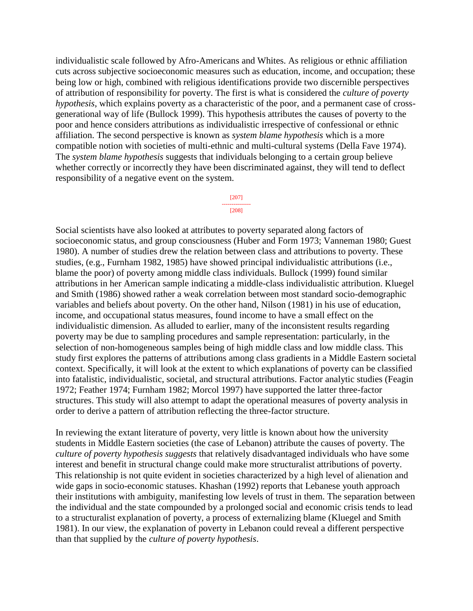individualistic scale followed by Afro-Americans and Whites. As religious or ethnic affiliation cuts across subjective socioeconomic measures such as education, income, and occupation; these being low or high, combined with religious identifications provide two discernible perspectives of attribution of responsibility for poverty. The first is what is considered the *culture of poverty hypothesis*, which explains poverty as a characteristic of the poor, and a permanent case of crossgenerational way of life (Bullock 1999). This hypothesis attributes the causes of poverty to the poor and hence considers attributions as individualistic irrespective of confessional or ethnic affiliation. The second perspective is known as *system blame hypothesis* which is a more compatible notion with societies of multi-ethnic and multi-cultural systems (Della Fave 1974). The *system blame hypothesis* suggests that individuals belonging to a certain group believe whether correctly or incorrectly they have been discriminated against, they will tend to deflect responsibility of a negative event on the system.

#### [207] --------------- [208]

Social scientists have also looked at attributes to poverty separated along factors of socioeconomic status, and group consciousness (Huber and Form 1973; Vanneman 1980; Guest 1980). A number of studies drew the relation between class and attributions to poverty. These studies, (e.g., Furnham 1982, 1985) have showed principal individualistic attributions (i.e., blame the poor) of poverty among middle class individuals. Bullock (1999) found similar attributions in her American sample indicating a middle-class individualistic attribution. Kluegel and Smith (1986) showed rather a weak correlation between most standard socio-demographic variables and beliefs about poverty. On the other hand, Nilson (1981) in his use of education, income, and occupational status measures, found income to have a small effect on the individualistic dimension. As alluded to earlier, many of the inconsistent results regarding poverty may be due to sampling procedures and sample representation: particularly, in the selection of non-homogeneous samples being of high middle class and low middle class. This study first explores the patterns of attributions among class gradients in a Middle Eastern societal context. Specifically, it will look at the extent to which explanations of poverty can be classified into fatalistic, individualistic, societal, and structural attributions. Factor analytic studies (Feagin 1972; Feather 1974; Furnham 1982; Morcol 1997) have supported the latter three-factor structures. This study will also attempt to adapt the operational measures of poverty analysis in order to derive a pattern of attribution reflecting the three-factor structure.

In reviewing the extant literature of poverty, very little is known about how the university students in Middle Eastern societies (the case of Lebanon) attribute the causes of poverty. The *culture of poverty hypothesis suggests* that relatively disadvantaged individuals who have some interest and benefit in structural change could make more structuralist attributions of poverty. This relationship is not quite evident in societies characterized by a high level of alienation and wide gaps in socio-economic statuses. Khashan (1992) reports that Lebanese youth approach their institutions with ambiguity, manifesting low levels of trust in them. The separation between the individual and the state compounded by a prolonged social and economic crisis tends to lead to a structuralist explanation of poverty, a process of externalizing blame (Kluegel and Smith 1981). In our view, the explanation of poverty in Lebanon could reveal a different perspective than that supplied by the *culture of poverty hypothesis*.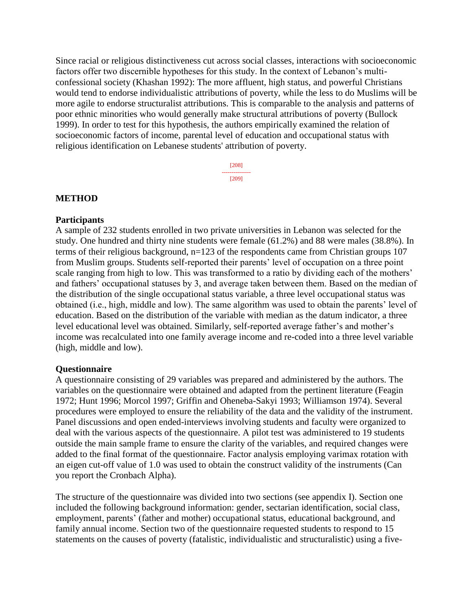Since racial or religious distinctiveness cut across social classes, interactions with socioeconomic factors offer two discernible hypotheses for this study. In the context of Lebanon's multiconfessional society (Khashan 1992): The more affluent, high status, and powerful Christians would tend to endorse individualistic attributions of poverty, while the less to do Muslims will be more agile to endorse structuralist attributions. This is comparable to the analysis and patterns of poor ethnic minorities who would generally make structural attributions of poverty (Bullock 1999). In order to test for this hypothesis, the authors empirically examined the relation of socioeconomic factors of income, parental level of education and occupational status with religious identification on Lebanese students' attribution of poverty.

> [208] --------------- [209]

### **METHOD**

### **Participants**

A sample of 232 students enrolled in two private universities in Lebanon was selected for the study. One hundred and thirty nine students were female (61.2%) and 88 were males (38.8%). In terms of their religious background, n=123 of the respondents came from Christian groups 107 from Muslim groups. Students self-reported their parents' level of occupation on a three point scale ranging from high to low. This was transformed to a ratio by dividing each of the mothers' and fathers' occupational statuses by 3, and average taken between them. Based on the median of the distribution of the single occupational status variable, a three level occupational status was obtained (i.e., high, middle and low). The same algorithm was used to obtain the parents' level of education. Based on the distribution of the variable with median as the datum indicator, a three level educational level was obtained. Similarly, self-reported average father's and mother's income was recalculated into one family average income and re-coded into a three level variable (high, middle and low).

# **Questionnaire**

A questionnaire consisting of 29 variables was prepared and administered by the authors. The variables on the questionnaire were obtained and adapted from the pertinent literature (Feagin 1972; Hunt 1996; Morcol 1997; Griffin and Oheneba-Sakyi 1993; Williamson 1974). Several procedures were employed to ensure the reliability of the data and the validity of the instrument. Panel discussions and open ended-interviews involving students and faculty were organized to deal with the various aspects of the questionnaire. A pilot test was administered to 19 students outside the main sample frame to ensure the clarity of the variables, and required changes were added to the final format of the questionnaire. Factor analysis employing varimax rotation with an eigen cut-off value of 1.0 was used to obtain the construct validity of the instruments (Can you report the Cronbach Alpha).

The structure of the questionnaire was divided into two sections (see appendix I). Section one included the following background information: gender, sectarian identification, social class, employment, parents' (father and mother) occupational status, educational background, and family annual income. Section two of the questionnaire requested students to respond to 15 statements on the causes of poverty (fatalistic, individualistic and structuralistic) using a five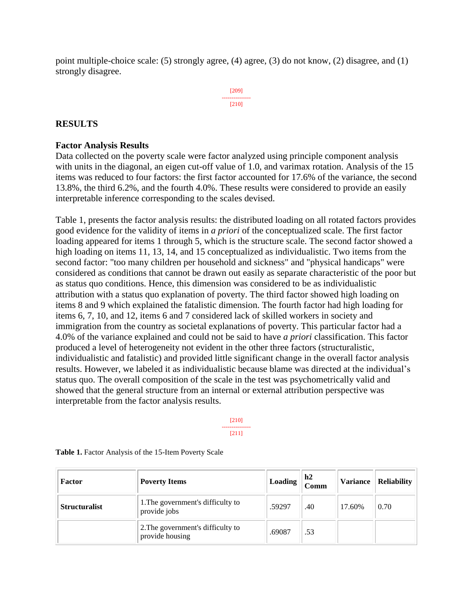point multiple-choice scale: (5) strongly agree, (4) agree, (3) do not know, (2) disagree, and (1) strongly disagree.

> [209] --------------- [210]

# **RESULTS**

### **Factor Analysis Results**

Data collected on the poverty scale were factor analyzed using principle component analysis with units in the diagonal, an eigen cut-off value of 1.0, and varimax rotation. Analysis of the 15 items was reduced to four factors: the first factor accounted for 17.6% of the variance, the second 13.8%, the third 6.2%, and the fourth 4.0%. These results were considered to provide an easily interpretable inference corresponding to the scales devised.

Table 1, presents the factor analysis results: the distributed loading on all rotated factors provides good evidence for the validity of items in *a priori* of the conceptualized scale. The first factor loading appeared for items 1 through 5, which is the structure scale. The second factor showed a high loading on items 11, 13, 14, and 15 conceptualized as individualistic. Two items from the second factor: "too many children per household and sickness" and "physical handicaps" were considered as conditions that cannot be drawn out easily as separate characteristic of the poor but as status quo conditions. Hence, this dimension was considered to be as individualistic attribution with a status quo explanation of poverty. The third factor showed high loading on items 8 and 9 which explained the fatalistic dimension. The fourth factor had high loading for items 6, 7, 10, and 12, items 6 and 7 considered lack of skilled workers in society and immigration from the country as societal explanations of poverty. This particular factor had a 4.0% of the variance explained and could not be said to have *a priori* classification. This factor produced a level of heterogeneity not evident in the other three factors (structuralistic, individualistic and fatalistic) and provided little significant change in the overall factor analysis results. However, we labeled it as individualistic because blame was directed at the individual's status quo. The overall composition of the scale in the test was psychometrically valid and showed that the general structure from an internal or external attribution perspective was interpretable from the factor analysis results.

> [210] --------------- [211]

| Factor               | <b>Poverty Items</b>                                 | Loading | h2<br>Comm | <b>Variance</b> | <b>Reliability</b> |
|----------------------|------------------------------------------------------|---------|------------|-----------------|--------------------|
| <b>Structuralist</b> | 1. The government's difficulty to<br>provide jobs    | .59297  | .40        | 17.60%          | 0.70               |
|                      | 2. The government's difficulty to<br>provide housing | .69087  | .53        |                 |                    |

**Table 1.** Factor Analysis of the 15-Item Poverty Scale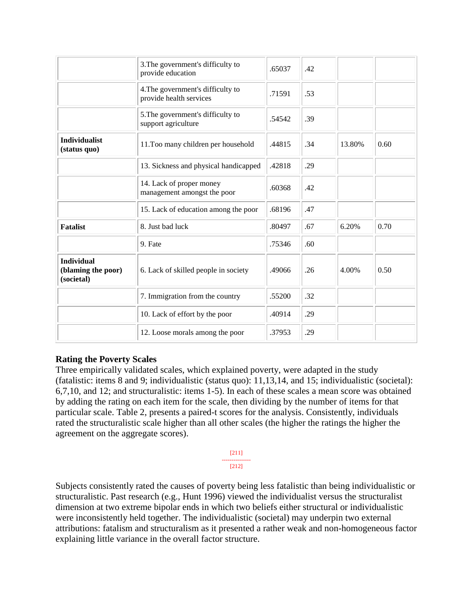|                                                       | 3. The government's difficulty to<br>provide education       | .65037 | .42 |        |      |
|-------------------------------------------------------|--------------------------------------------------------------|--------|-----|--------|------|
|                                                       | 4. The government's difficulty to<br>provide health services | .71591 | .53 |        |      |
|                                                       | 5. The government's difficulty to<br>support agriculture     | .54542 | .39 |        |      |
| <b>Individualist</b><br>(status quo)                  | 11. Too many children per household                          | .44815 | .34 | 13.80% | 0.60 |
|                                                       | 13. Sickness and physical handicapped                        | .42818 | .29 |        |      |
|                                                       | 14. Lack of proper money<br>management amongst the poor      | .60368 | .42 |        |      |
|                                                       | 15. Lack of education among the poor                         | .68196 | .47 |        |      |
| <b>Fatalist</b>                                       | 8. Just bad luck                                             | .80497 | .67 | 6.20%  | 0.70 |
|                                                       | 9. Fate                                                      | .75346 | .60 |        |      |
| <b>Individual</b><br>(blaming the poor)<br>(societal) | 6. Lack of skilled people in society                         | .49066 | .26 | 4.00%  | 0.50 |
|                                                       | 7. Immigration from the country                              | .55200 | .32 |        |      |
|                                                       | 10. Lack of effort by the poor                               | .40914 | .29 |        |      |
|                                                       | 12. Loose morals among the poor                              | .37953 | .29 |        |      |

# **Rating the Poverty Scales**

Three empirically validated scales, which explained poverty, were adapted in the study (fatalistic: items 8 and 9; individualistic (status quo): 11,13,14, and 15; individualistic (societal): 6,7,10, and 12; and structuralistic: items 1-5). In each of these scales a mean score was obtained by adding the rating on each item for the scale, then dividing by the number of items for that particular scale. Table 2, presents a paired-t scores for the analysis. Consistently, individuals rated the structuralistic scale higher than all other scales (the higher the ratings the higher the agreement on the aggregate scores).

> [211] ---------------

[212]

Subjects consistently rated the causes of poverty being less fatalistic than being individualistic or structuralistic. Past research (e.g., Hunt 1996) viewed the individualist versus the structuralist dimension at two extreme bipolar ends in which two beliefs either structural or individualistic were inconsistently held together. The individualistic (societal) may underpin two external attributions: fatalism and structuralism as it presented a rather weak and non-homogeneous factor explaining little variance in the overall factor structure.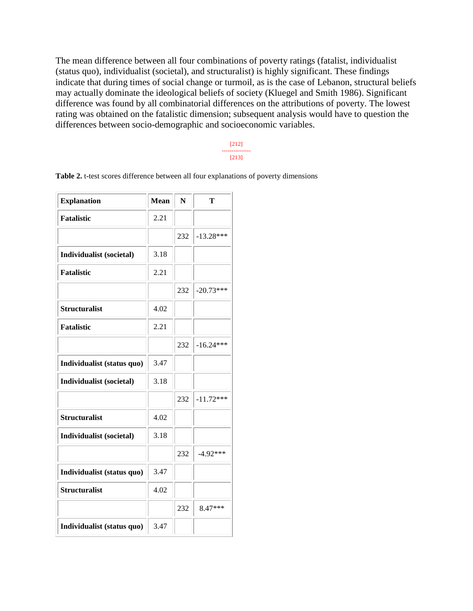The mean difference between all four combinations of poverty ratings (fatalist, individualist (status quo), individualist (societal), and structuralist) is highly significant. These findings indicate that during times of social change or turmoil, as is the case of Lebanon, structural beliefs may actually dominate the ideological beliefs of society (Kluegel and Smith 1986). Significant difference was found by all combinatorial differences on the attributions of poverty. The lowest rating was obtained on the fatalistic dimension; subsequent analysis would have to question the differences between socio-demographic and socioeconomic variables.

#### [212] --------------- [213]

| <b>Explanation</b>         | <b>Mean</b> | N   | т           |
|----------------------------|-------------|-----|-------------|
| <b>Fatalistic</b>          | 2.21        |     |             |
|                            |             | 232 | $-13.28***$ |
| Individualist (societal)   | 3.18        |     |             |
| <b>Fatalistic</b>          | 2.21        |     |             |
|                            |             | 232 | $-20.73***$ |
| <b>Structuralist</b>       | 4.02        |     |             |
| <b>Fatalistic</b>          | 2.21        |     |             |
|                            |             | 232 | $-16.24***$ |
| Individualist (status quo) | 3.47        |     |             |
| Individualist (societal)   | 3.18        |     |             |
|                            |             | 232 | $-11.72***$ |
| <b>Structuralist</b>       | 4.02        |     |             |
| Individualist (societal)   | 3.18        |     |             |
|                            |             | 232 | $-4.92***$  |
| Individualist (status quo) | 3.47        |     |             |
| <b>Structuralist</b>       | 4.02        |     |             |
|                            |             | 232 | 8.47***     |
| Individualist (status quo) | 3.47        |     |             |

**Table 2.** t-test scores difference between all four explanations of poverty dimensions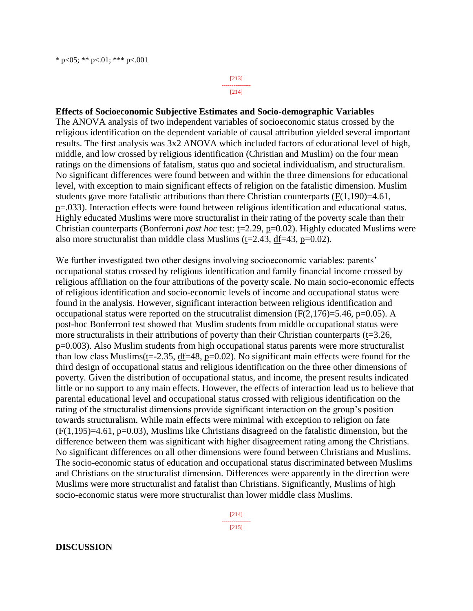[213] --------------- [214]

### **Effects of Socioeconomic Subjective Estimates and Socio-demographic Variables**

The ANOVA analysis of two independent variables of socioeconomic status crossed by the religious identification on the dependent variable of causal attribution yielded several important results. The first analysis was 3x2 ANOVA which included factors of educational level of high, middle, and low crossed by religious identification (Christian and Muslim) on the four mean ratings on the dimensions of fatalism, status quo and societal individualism, and structuralism. No significant differences were found between and within the three dimensions for educational level, with exception to main significant effects of religion on the fatalistic dimension. Muslim students gave more fatalistic attributions than there Christian counterparts  $(F(1,190)=4.61,$ p=.033). Interaction effects were found between religious identification and educational status. Highly educated Muslims were more structuralist in their rating of the poverty scale than their Christian counterparts (Bonferroni *post hoc* test: t=2.29, p=0.02). Highly educated Muslims were also more structuralist than middle class Muslims (t=2.43, df=43, p=0.02).

We further investigated two other designs involving socioeconomic variables: parents' occupational status crossed by religious identification and family financial income crossed by religious affiliation on the four attributions of the poverty scale. No main socio-economic effects of religious identification and socio-economic levels of income and occupational status were found in the analysis. However, significant interaction between religious identification and occupational status were reported on the strucutralist dimension  $(F(2,176)=5.46, p=0.05)$ . A post-hoc Bonferroni test showed that Muslim students from middle occupational status were more structuralists in their attributions of poverty than their Christian counterparts (t=3.26, p=0.003). Also Muslim students from high occupational status parents were more structuralist than low class Muslims( $t=-2.35$ ,  $df=48$ ,  $p=0.02$ ). No significant main effects were found for the third design of occupational status and religious identification on the three other dimensions of poverty. Given the distribution of occupational status, and income, the present results indicated little or no support to any main effects. However, the effects of interaction lead us to believe that parental educational level and occupational status crossed with religious identification on the rating of the structuralist dimensions provide significant interaction on the group's position towards structuralism. While main effects were minimal with exception to religion on fate  $(F(1,195)=4.61, p=0.03)$ , Muslims like Christians disagreed on the fatalistic dimension, but the difference between them was significant with higher disagreement rating among the Christians. No significant differences on all other dimensions were found between Christians and Muslims. The socio-economic status of education and occupational status discriminated between Muslims and Christians on the structuralist dimension. Differences were apparently in the direction were Muslims were more structuralist and fatalist than Christians. Significantly, Muslims of high socio-economic status were more structuralist than lower middle class Muslims.

> [214] --------------- [215]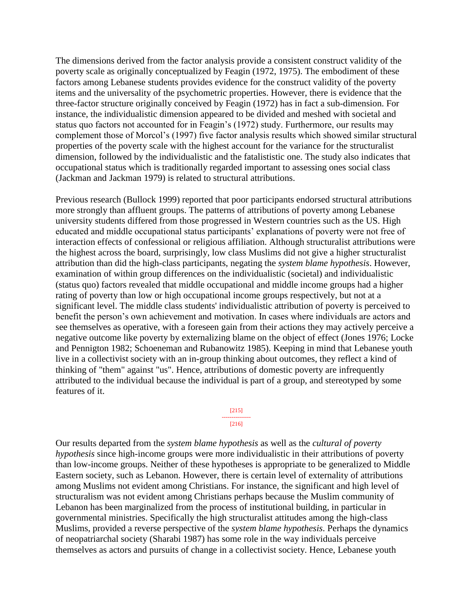The dimensions derived from the factor analysis provide a consistent construct validity of the poverty scale as originally conceptualized by Feagin (1972, 1975). The embodiment of these factors among Lebanese students provides evidence for the construct validity of the poverty items and the universality of the psychometric properties. However, there is evidence that the three-factor structure originally conceived by Feagin (1972) has in fact a sub-dimension. For instance, the individualistic dimension appeared to be divided and meshed with societal and status quo factors not accounted for in Feagin's (1972) study. Furthermore, our results may complement those of Morcol's (1997) five factor analysis results which showed similar structural properties of the poverty scale with the highest account for the variance for the structuralist dimension, followed by the individualistic and the fatalististic one. The study also indicates that occupational status which is traditionally regarded important to assessing ones social class (Jackman and Jackman 1979) is related to structural attributions.

Previous research (Bullock 1999) reported that poor participants endorsed structural attributions more strongly than affluent groups. The patterns of attributions of poverty among Lebanese university students differed from those progressed in Western countries such as the US. High educated and middle occupational status participants' explanations of poverty were not free of interaction effects of confessional or religious affiliation. Although structuralist attributions were the highest across the board, surprisingly, low class Muslims did not give a higher structuralist attribution than did the high-class participants, negating the *system blame hypothesis*. However, examination of within group differences on the individualistic (societal) and individualistic (status quo) factors revealed that middle occupational and middle income groups had a higher rating of poverty than low or high occupational income groups respectively, but not at a significant level. The middle class students' individualistic attribution of poverty is perceived to benefit the person's own achievement and motivation. In cases where individuals are actors and see themselves as operative, with a foreseen gain from their actions they may actively perceive a negative outcome like poverty by externalizing blame on the object of effect (Jones 1976; Locke and Pennigton 1982; Schoeneman and Rubanowitz 1985). Keeping in mind that Lebanese youth live in a collectivist society with an in-group thinking about outcomes, they reflect a kind of thinking of "them" against "us". Hence, attributions of domestic poverty are infrequently attributed to the individual because the individual is part of a group, and stereotyped by some features of it.

#### [215] --------------- [216]

Our results departed from the *system blame hypothesis* as well as the *cultural of poverty hypothesis* since high-income groups were more individualistic in their attributions of poverty than low-income groups. Neither of these hypotheses is appropriate to be generalized to Middle Eastern society, such as Lebanon. However, there is certain level of externality of attributions among Muslims not evident among Christians. For instance, the significant and high level of structuralism was not evident among Christians perhaps because the Muslim community of Lebanon has been marginalized from the process of institutional building, in particular in governmental ministries. Specifically the high structuralist attitudes among the high-class Muslims, provided a reverse perspective of the *system blame hypothesis*. Perhaps the dynamics of neopatriarchal society (Sharabi 1987) has some role in the way individuals perceive themselves as actors and pursuits of change in a collectivist society. Hence, Lebanese youth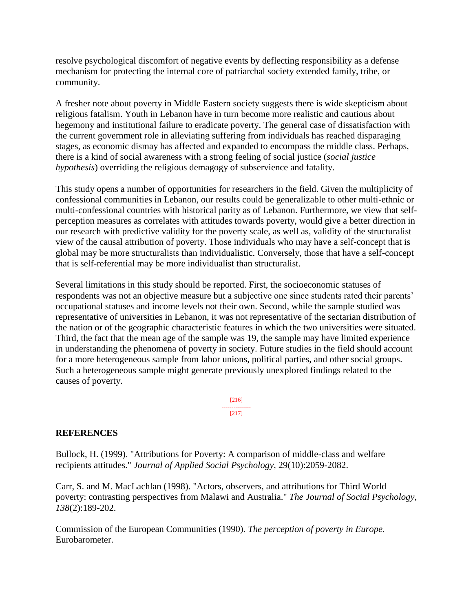resolve psychological discomfort of negative events by deflecting responsibility as a defense mechanism for protecting the internal core of patriarchal society extended family, tribe, or community.

A fresher note about poverty in Middle Eastern society suggests there is wide skepticism about religious fatalism. Youth in Lebanon have in turn become more realistic and cautious about hegemony and institutional failure to eradicate poverty. The general case of dissatisfaction with the current government role in alleviating suffering from individuals has reached disparaging stages, as economic dismay has affected and expanded to encompass the middle class. Perhaps, there is a kind of social awareness with a strong feeling of social justice (*social justice hypothesis*) overriding the religious demagogy of subservience and fatality.

This study opens a number of opportunities for researchers in the field. Given the multiplicity of confessional communities in Lebanon, our results could be generalizable to other multi-ethnic or multi-confessional countries with historical parity as of Lebanon. Furthermore, we view that selfperception measures as correlates with attitudes towards poverty, would give a better direction in our research with predictive validity for the poverty scale, as well as, validity of the structuralist view of the causal attribution of poverty. Those individuals who may have a self-concept that is global may be more structuralists than individualistic. Conversely, those that have a self-concept that is self-referential may be more individualist than structuralist.

Several limitations in this study should be reported. First, the socioeconomic statuses of respondents was not an objective measure but a subjective one since students rated their parents' occupational statuses and income levels not their own. Second, while the sample studied was representative of universities in Lebanon, it was not representative of the sectarian distribution of the nation or of the geographic characteristic features in which the two universities were situated. Third, the fact that the mean age of the sample was 19, the sample may have limited experience in understanding the phenomena of poverty in society. Future studies in the field should account for a more heterogeneous sample from labor unions, political parties, and other social groups. Such a heterogeneous sample might generate previously unexplored findings related to the causes of poverty.

> [216] --------------- [217]

# **REFERENCES**

Bullock, H. (1999). "Attributions for Poverty: A comparison of middle-class and welfare recipients attitudes." *Journal of Applied Social Psychology*, 29(10):2059-2082.

Carr, S. and M. MacLachlan (1998). "Actors, observers, and attributions for Third World poverty: contrasting perspectives from Malawi and Australia." *The Journal of Social Psychology, 138*(2):189-202.

Commission of the European Communities (1990). *The perception of poverty in Europe.* Eurobarometer.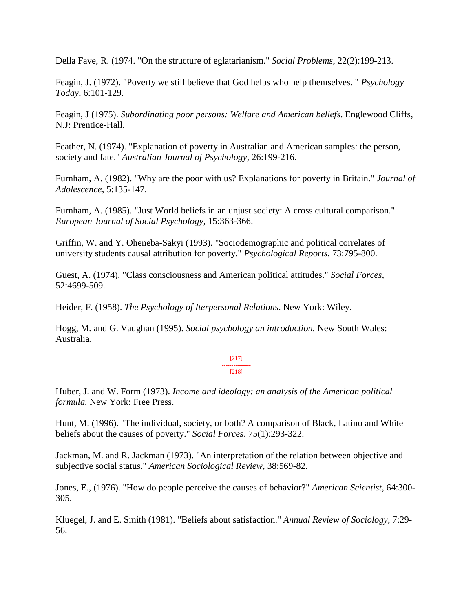Della Fave, R. (1974. "On the structure of eglatarianism." *Social Problems*, 22(2):199-213.

Feagin, J. (1972). "Poverty we still believe that God helps who help themselves. " *Psychology Today*, 6:101-129.

Feagin, J (1975). *Subordinating poor persons: Welfare and American beliefs*. Englewood Cliffs, N.J: Prentice-Hall.

Feather, N. (1974). "Explanation of poverty in Australian and American samples: the person, society and fate." *Australian Journal of Psychology*, 26:199-216.

Furnham, A. (1982). "Why are the poor with us? Explanations for poverty in Britain." *Journal of Adolescence*, 5:135-147.

Furnham, A. (1985). "Just World beliefs in an unjust society: A cross cultural comparison." *European Journal of Social Psychology,* 15:363-366.

Griffin, W. and Y. Oheneba-Sakyi (1993). "Sociodemographic and political correlates of university students causal attribution for poverty." *Psychological Reports*, 73:795-800.

Guest, A. (1974). "Class consciousness and American political attitudes." *Social Forces*, 52:4699-509.

Heider, F. (1958). *The Psychology of Iterpersonal Relations*. New York: Wiley.

Hogg, M. and G. Vaughan (1995). *Social psychology an introduction.* New South Wales: Australia.

> [217] --------------- [218]

Huber, J. and W. Form (1973). *Income and ideology: an analysis of the American political formula.* New York: Free Press.

Hunt, M. (1996). "The individual, society, or both? A comparison of Black, Latino and White beliefs about the causes of poverty." *Social Forces*. 75(1):293-322.

Jackman, M. and R. Jackman (1973). "An interpretation of the relation between objective and subjective social status." *American Sociological Review*, 38:569-82.

Jones, E., (1976). "How do people perceive the causes of behavior?" *American Scientist*, 64:300- 305.

Kluegel, J. and E. Smith (1981). "Beliefs about satisfaction." *Annual Review of Sociology*, 7:29- 56.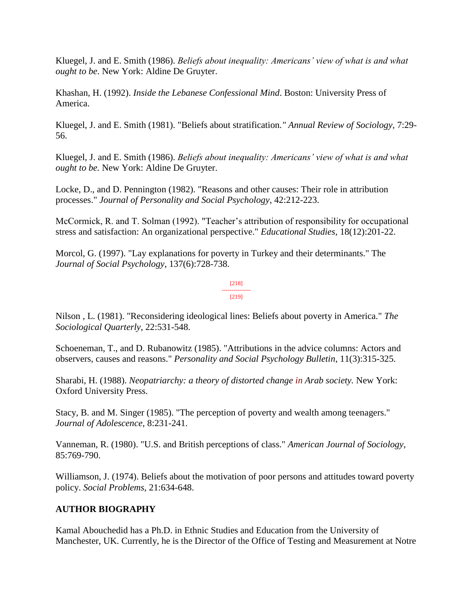Kluegel, J. and E. Smith (1986). *Beliefs about inequality: Americans' view of what is and what ought to be*. New York: Aldine De Gruyter.

Khashan, H. (1992). *Inside the Lebanese Confessional Mind*. Boston: University Press of America.

Kluegel, J. and E. Smith (1981). "Beliefs about stratification*." Annual Review of Sociology*, 7:29- 56.

Kluegel, J. and E. Smith (1986). *Beliefs about inequality: Americans' view of what is and what ought to be.* New York: Aldine De Gruyter.

Locke, D., and D. Pennington (1982). "Reasons and other causes: Their role in attribution processes." *Journal of Personality and Social Psychology*, 42:212-223.

McCormick, R. and T. Solman (1992). "Teacher's attribution of responsibility for occupational stress and satisfaction: An organizational perspective." *Educational Studies*, 18(12):201-22.

Morcol, G. (1997). "Lay explanations for poverty in Turkey and their determinants." The *Journal of Social Psychology*, 137(6):728-738.

> [218] --------------- [219]

Nilson , L. (1981). "Reconsidering ideological lines: Beliefs about poverty in America." *The Sociological Quarterly*, 22:531-548.

Schoeneman, T., and D. Rubanowitz (1985). "Attributions in the advice columns: Actors and observers, causes and reasons." *Personality and Social Psychology Bulletin*, 11(3):315-325.

Sharabi, H. (1988). *Neopatriarchy: a theory of distorted change in Arab society.* New York: Oxford University Press.

Stacy, B. and M. Singer (1985). "The perception of poverty and wealth among teenagers." *Journal of Adolescence*, 8:231-241.

Vanneman, R. (1980). "U.S. and British perceptions of class." *American Journal of Sociology*, 85:769-790.

Williamson, J. (1974). Beliefs about the motivation of poor persons and attitudes toward poverty policy. *Social Problems*, 21:634-648.

# **AUTHOR BIOGRAPHY**

Kamal Abouchedid has a Ph.D. in Ethnic Studies and Education from the University of Manchester, UK. Currently, he is the Director of the Office of Testing and Measurement at Notre